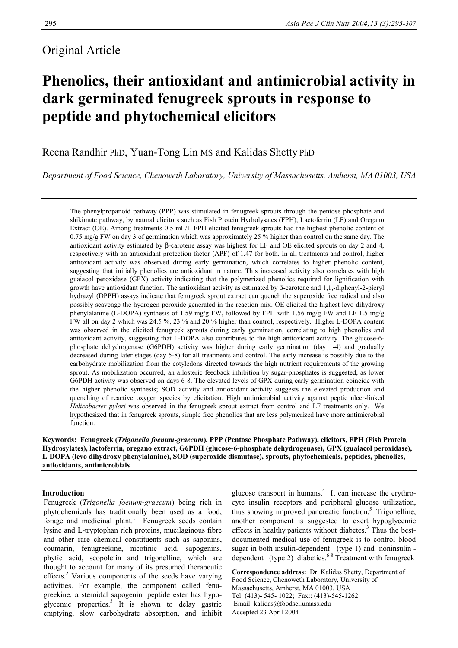# Original Article

# **Phenolics, their antioxidant and antimicrobial activity in dark germinated fenugreek sprouts in response to peptide and phytochemical elicitors**

# Reena Randhir PhD, Yuan-Tong Lin MS and Kalidas Shetty PhD

*Department of Food Science, Chenoweth Laboratory, University of Massachusetts, Amherst, MA 01003, USA* 

The phenylpropanoid pathway (PPP) was stimulated in fenugreek sprouts through the pentose phosphate and shikimate pathway, by natural elicitors such as Fish Protein Hydrolysates (FPH), Lactoferrin (LF) and Oregano Extract (OE). Among treatments 0.5 ml /L FPH elicited fenugreek sprouts had the highest phenolic content of 0.75 mg/g FW on day 3 of germination which was approximately 25 % higher than control on the same day. The antioxidant activity estimated by β-carotene assay was highest for LF and OE elicited sprouts on day 2 and 4, respectively with an antioxidant protection factor (APF) of 1.47 for both. In all treatments and control, higher antioxidant activity was observed during early germination, which correlates to higher phenolic content, suggesting that initially phenolics are antioxidant in nature. This increased activity also correlates with high guaiacol peroxidase (GPX) activity indicating that the polymerized phenolics required for lignification with growth have antioxidant function. The antioxidant activity as estimated by β-carotene and 1,1,-diphenyl-2-picryl hydrazyl (DPPH) assays indicate that fenugreek sprout extract can quench the superoxide free radical and also possibly scavenge the hydrogen peroxide generated in the reaction mix. OE elicited the highest levo dihydroxy phenylalanine (L-DOPA) synthesis of 1.59 mg/g FW, followed by FPH with 1.56 mg/g FW and LF 1.5 mg/g FW all on day 2 which was 24.5 %, 23 % and 20 % higher than control, respectively. Higher L-DOPA content was observed in the elicited fenugreek sprouts during early germination, correlating to high phenolics and antioxidant activity, suggesting that L-DOPA also contributes to the high antioxidant activity. The glucose-6 phosphate dehydrogenase (G6PDH) activity was higher during early germination (day 1-4) and gradually decreased during later stages (day 5-8) for all treatments and control. The early increase is possibly due to the carbohydrate mobilization from the cotyledons directed towards the high nutrient requirements of the growing sprout. As mobilization occurred, an allosteric feedback inhibition by sugar-phosphates is suggested, as lower G6PDH activity was observed on days 6-8. The elevated levels of GPX during early germination coincide with the higher phenolic synthesis; SOD activity and antioxidant activity suggests the elevated production and quenching of reactive oxygen species by elicitation. High antimicrobial activity against peptic ulcer-linked *Helicobacter pylori* was observed in the fenugreek sprout extract from control and LF treatments only. We hypothesized that in fenugreek sprouts, simple free phenolics that are less polymerized have more antimicrobial function.

**Keywords: Fenugreek (***Trigonella foenum-graecum***), PPP (Pentose Phosphate Pathway), elicitors, FPH (Fish Protein Hydrosylates), lactoferrin, oregano extract, G6PDH (glucose-6-phosphate dehydrogenase), GPX (guaiacol peroxidase), L-DOPA (levo dihydroxy phenylalanine), SOD (superoxide dismutase), sprouts, phytochemicals, peptides, phenolics, antioxidants, antimicrobials** 

# **Introduction**

 Fenugreek (*Trigonella foenum-graecum*) being rich in phytochemicals has traditionally been used as a food, forage and medicinal plant.<sup>1</sup> Fenugreek seeds contain lysine and L-tryptophan rich proteins, mucilaginous fibre and other rare chemical constituents such as saponins, coumarin, fenugreekine, nicotinic acid, sapogenins, phytic acid, scopoletin and trigonelline, which are thought to account for many of its presumed therapeutic effects.<sup>2</sup> Various components of the seeds have varying activities. For example, the component called fenu greekine, a steroidal sapogenin peptide ester has hypo glycemic properties. $3$  It is shown to delay gastric emptying, slow carbohydrate absorption, and inhibit

glucose transport in humans.<sup>4</sup> It can increase the erythrocyte insulin receptors and peripheral glucose utilization, thus showing improved pancreatic function.<sup>5</sup> Trigonelline, another component is suggested to exert hypoglycemic effects in healthy patients without diabetes. $3$  Thus the bestdocumented medical use of fenugreek is to control blood sugar in both insulin-dependent (type 1) and noninsulin dependent (type 2) diabetics.<sup>6-8</sup> Treatment with fenugreek

**Correspondence address:** Dr Kalidas Shetty, Department of Food Science, Chenoweth Laboratory, University of Massachusetts, Amherst, MA 01003, USA Tel: (413)- 545- 1022; Fax:: (413)-545-1262 Email: kalidas@foodsci.umass.edu Accepted 23 April 2004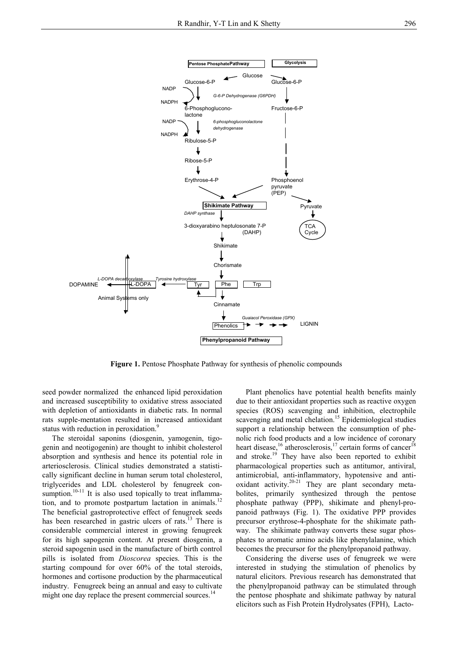

**Figure 1.** Pentose Phosphate Pathway for synthesis of phenolic compounds

seed powder normalized the enhanced lipid peroxidation and increased susceptibility to oxidative stress associated with depletion of antioxidants in diabetic rats. In normal rats supple-mentation resulted in increased antioxidant status with reduction in peroxidation.<sup>9</sup>

 The steroidal saponins (diosgenin, yamogenin, tigogenin and neotigogenin) are thought to inhibit cholesterol absorption and synthesis and hence its potential role in arteriosclerosis. Clinical studies demonstrated a statistically significant decline in human serum total cholesterol, triglycerides and LDL cholesterol by fenugreek consumption.<sup>10-11</sup> It is also used topically to treat inflammation, and to promote postpartum lactation in animals.<sup>12</sup> The beneficial gastroprotective effect of fenugreek seeds has been researched in gastric ulcers of rats.<sup>13</sup> There is considerable commercial interest in growing fenugreek for its high sapogenin content. At present diosgenin, a steroid sapogenin used in the manufacture of birth control pills is isolated from *Dioscorea* species. This is the starting compound for over 60% of the total steroids, hormones and cortisone production by the pharmaceutical industry. Fenugreek being an annual and easy to cultivate might one day replace the present commercial sources.<sup>14</sup>

 Plant phenolics have potential health benefits mainly due to their antioxidant properties such as reactive oxygen species (ROS) scavenging and inhibition, electrophile scavenging and metal chelation.<sup>15</sup> Epidemiological studies support a relationship between the consumption of phenolic rich food products and a low incidence of coronary heart disease,<sup>16</sup> atherosclerosis,<sup>17</sup> certain forms of cancer<sup>18</sup> and stroke.<sup>19</sup> They have also been reported to exhibit pharmacological properties such as antitumor, antiviral, antimicrobial, anti-inflammatory, hypotensive and antioxidant activity.<sup>20-21</sup> They are plant secondary metabolites, primarily synthesized through the pentose phosphate pathway (PPP), shikimate and phenyl-propanoid pathways (Fig. 1). The oxidative PPP provides precursor erythrose-4-phosphate for the shikimate pathway. The shikimate pathway converts these sugar phosphates to aromatic amino acids like phenylalanine, which becomes the precursor for the phenylpropanoid pathway.

 Considering the diverse uses of fenugreek we were interested in studying the stimulation of phenolics by natural elicitors. Previous research has demonstrated that the phenylpropanoid pathway can be stimulated through the pentose phosphate and shikimate pathway by natural elicitors such as Fish Protein Hydrolysates (FPH), Lacto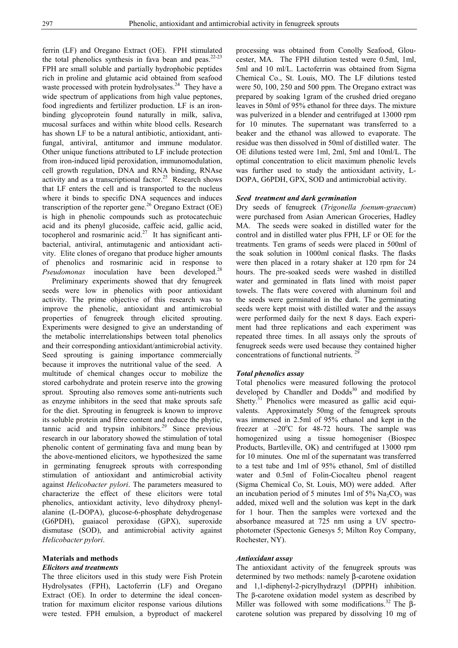ferrin (LF) and Oregano Extract (OE). FPH stimulated the total phenolics synthesis in fava bean and peas. $22-23$ FPH are small soluble and partially hydrophobic peptides rich in proline and glutamic acid obtained from seafood waste processed with protein hydrolysates.<sup>24</sup> They have a wide spectrum of applications from high value peptones, food ingredients and fertilizer production. LF is an ironbinding glycoprotein found naturally in milk, saliva, mucosal surfaces and within white blood cells. Research has shown LF to be a natural antibiotic, antioxidant, antifungal, antiviral, antitumor and immune modulator. Other unique functions attributed to LF include protection from iron-induced lipid peroxidation, immunomodulation, cell growth regulation, DNA and RNA binding, RNAse activity and as a transcriptional factor.<sup>25</sup> Research shows that LF enters the cell and is transported to the nucleus where it binds to specific DNA sequences and induces transcription of the reporter gene.<sup>26</sup> Oregano Extract (OE) is high in phenolic compounds such as protocatechuic acid and its phenyl glucoside, caffeic acid, gallic acid, tocopherol and rosmarinic acid.<sup>27</sup> It has significant antibacterial, antiviral, antimutagenic and antioxidant activity. Elite clones of oregano that produce higher amounts of phenolics and rosmarinic acid in response to *Pseudomonas* inoculation have been developed.<sup>28</sup>

 Preliminary experiments showed that dry fenugreek seeds were low in phenolics with poor antioxidant activity. The prime objective of this research was to improve the phenolic, antioxidant and antimicrobial properties of fenugreek through elicited sprouting. Experiments were designed to give an understanding of the metabolic interrelationships between total phenolics and their corresponding antioxidant/antimicrobial activity. Seed sprouting is gaining importance commercially because it improves the nutritional value of the seed. A multitude of chemical changes occur to mobilize the stored carbohydrate and protein reserve into the growing sprout. Sprouting also removes some anti-nutrients such as enzyme inhibitors in the seed that make sprouts safe for the diet. Sprouting in fenugreek is known to improve its soluble protein and fibre content and reduce the phytic, tannic acid and trypsin inhibitors.<sup>29</sup> Since previous research in our laboratory showed the stimulation of total phenolic content of germinating fava and mung bean by the above-mentioned elicitors, we hypothesized the same in germinating fenugreek sprouts with corresponding stimulation of antioxidant and antimicrobial activity against *Helicobacter pylori*. The parameters measured to characterize the effect of these elicitors were total phenolics, antioxidant activity, levo dihydroxy phenylalanine (L-DOPA), glucose-6-phosphate dehydrogenase (G6PDH), guaiacol peroxidase (GPX), superoxide dismutase (SOD), and antimicrobial activity against *Helicobacter pylori*.

# **Materials and methods**

# *Elicitors and treatments*

The three elicitors used in this study were Fish Protein Hydrolysates (FPH), Lactoferrin (LF) and Oregano Extract (OE). In order to determine the ideal concentration for maximum elicitor response various dilutions were tested. FPH emulsion, a byproduct of mackerel

processing was obtained from Conolly Seafood, Gloucester, MA. The FPH dilution tested were 0.5ml, 1ml, 5ml and 10 ml/L. Lactoferrin was obtained from Sigma Chemical Co., St. Louis, MO. The LF dilutions tested were 50, 100, 250 and 500 ppm. The Oregano extract was prepared by soaking 1gram of the crushed dried oregano leaves in 50ml of 95% ethanol for three days. The mixture was pulverized in a blender and centrifuged at 13000 rpm for 10 minutes. The supernatant was transferred to a beaker and the ethanol was allowed to evaporate. The residue was then dissolved in 50ml of distilled water. The OE dilutions tested were 1ml, 2ml, 5ml and 10ml/L. The optimal concentration to elicit maximum phenolic levels was further used to study the antioxidant activity, L-DOPA, G6PDH, GPX, SOD and antimicrobial activity.

# *Seed treatment and dark germination*

Dry seeds of fenugreek (*Trigonella foenum-graecum*) were purchased from Asian American Groceries, Hadley MA. The seeds were soaked in distilled water for the control and in distilled water plus FPH, LF or OE for the treatments. Ten grams of seeds were placed in 500ml of the soak solution in 1000ml conical flasks. The flasks were then placed in a rotary shaker at 120 rpm for 24 hours. The pre-soaked seeds were washed in distilled water and germinated in flats lined with moist paper towels. The flats were covered with aluminum foil and the seeds were germinated in the dark. The germinating seeds were kept moist with distilled water and the assays were performed daily for the next 8 days. Each experiment had three replications and each experiment was repeated three times. In all assays only the sprouts of fenugreek seeds were used because they contained higher concentrations of functional nutrients.  $2<sup>9</sup>$ 

# *Total phenolics assay*

Total phenolics were measured following the protocol developed by Chandler and  $Dodds<sup>30</sup>$  and modified by Shetty.<sup>31</sup> Phenolics were measured as gallic acid equivalents. Approximately 50mg of the fenugreek sprouts was immersed in 2.5ml of 95% ethanol and kept in the freezer at  $-20^{\circ}$ C for 48-72 hours. The sample was homogenized using a tissue homogeniser (Biospec Products, Bartleville, OK) and centrifuged at 13000 rpm for 10 minutes. One ml of the supernatant was transferred to a test tube and 1ml of 95% ethanol, 5ml of distilled water and 0.5ml of Folin-Ciocalteu phenol reagent (Sigma Chemical Co, St. Louis, MO) were added. After an incubation period of 5 minutes 1ml of  $5\%$  Na<sub>2</sub>CO<sub>3</sub> was added, mixed well and the solution was kept in the dark for 1 hour. Then the samples were vortexed and the absorbance measured at 725 nm using a UV spectrophotometer (Spectonic Genesys 5; Milton Roy Company, Rochester, NY).

# *Antioxidant assay*

The antioxidant activity of the fenugreek sprouts was determined by two methods: namely β-carotene oxidation and 1,1-diphenyl-2-picrylhydrazyl (DPPH) inhibition. The β-carotene oxidation model system as described by Miller was followed with some modifications.<sup>32</sup> The  $\beta$ carotene solution was prepared by dissolving 10 mg of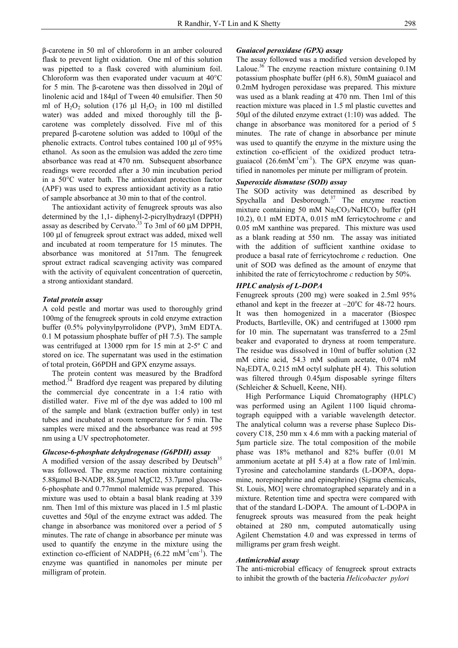β-carotene in 50 ml of chloroform in an amber coloured flask to prevent light oxidation. One ml of this solution was pipetted to a flask covered with aluminium foil. Chloroform was then evaporated under vacuum at 40°C for 5 min. The β-carotene was then dissolved in 20µl of linolenic acid and 184µl of Tween 40 emulsifier. Then 50 ml of  $H_2O_2$  solution (176 µl  $H_2O_2$  in 100 ml distilled water) was added and mixed thoroughly till the βcarotene was completely dissolved. Five ml of this prepared β-carotene solution was added to 100µl of the phenolic extracts. Control tubes contained 100 µl of 95% ethanol. As soon as the emulsion was added the zero time absorbance was read at 470 nm. Subsequent absorbance readings were recorded after a 30 min incubation period in a 50°C water bath. The antioxidant protection factor (APF) was used to express antioxidant activity as a ratio of sample absorbance at 30 min to that of the control.

 The antioxidant activity of fenugreek sprouts was also determined by the 1,1- diphenyl-2-picrylhydrazyl (DPPH) assay as described by Cervato.<sup>33</sup> To 3ml of 60  $\mu$ M DPPH, 100 µl of fenugreek sprout extract was added, mixed well and incubated at room temperature for 15 minutes. The absorbance was monitored at 517nm. The fenugreek sprout extract radical scavenging activity was compared with the activity of equivalent concentration of quercetin, a strong antioxidant standard.

#### *Total protein assay*

A cold pestle and mortar was used to thoroughly grind 100mg of the fenugreek sprouts in cold enzyme extraction buffer (0.5% polyvinylpyrrolidone (PVP), 3mM EDTA. 0.1 M potassium phosphate buffer of pH 7.5). The sample was centrifuged at 13000 rpm for 15 min at 2-5º C and stored on ice. The supernatant was used in the estimation of total protein, G6PDH and GPX enzyme assays.

 The protein content was measured by the Bradford method.<sup>34</sup> Bradford dye reagent was prepared by diluting the commercial dye concentrate in a 1:4 ratio with distilled water. Five ml of the dye was added to 100 ml of the sample and blank (extraction buffer only) in test tubes and incubated at room temperature for 5 min. The samples were mixed and the absorbance was read at 595 nm using a UV spectrophotometer.

#### *Glucose-6-phosphate dehydrogenase (G6PDH) assay*

A modified version of the assay described by Deutsch<sup>35</sup> was followed. The enzyme reaction mixture containing 5.88µmol B-NADP, 88.5µmol MgCl2, 53.7µmol glucose-6-phosphate and 0.77mmol malemide was prepared. This mixture was used to obtain a basal blank reading at 339 nm. Then 1ml of this mixture was placed in 1.5 ml plastic cuvettes and 50µl of the enzyme extract was added. The change in absorbance was monitored over a period of 5 minutes. The rate of change in absorbance per minute was used to quantify the enzyme in the mixture using the extinction co-efficient of NADPH<sub>2</sub> (6.22 mM<sup>-1</sup>cm<sup>-1</sup>). The enzyme was quantified in nanomoles per minute per milligram of protein.

# *Guaiacol peroxidase (GPX) assay*

The assay followed was a modified version developed by Laloue.36 The enzyme reaction mixture containing 0.1M potassium phosphate buffer (pH 6.8), 50mM guaiacol and 0.2mM hydrogen peroxidase was prepared. This mixture was used as a blank reading at 470 nm. Then 1ml of this reaction mixture was placed in 1.5 ml plastic cuvettes and 50µl of the diluted enzyme extract (1:10) was added. The change in absorbance was monitored for a period of 5 minutes. The rate of change in absorbance per minute was used to quantify the enzyme in the mixture using the extinction co-efficient of the oxidized product tetraguaiacol  $(26.6 \text{mM}^{-1} \text{cm}^{-1})$ . The GPX enzyme was quantified in nanomoles per minute per milligram of protein.

# *Superoxide dismutase (SOD) assay*

The SOD activity was determined as described by Spychalla and Desborough. $37$  The enzyme reaction mixture containing 50 mM  $Na<sub>2</sub>CO<sub>3</sub>/NaHCO<sub>3</sub>$  buffer (pH 10.2), 0.1 mM EDTA, 0.015 mM ferricytochrome *c* and 0.05 mM xanthine was prepared. This mixture was used as a blank reading at 550 nm. The assay was initiated with the addition of sufficient xanthine oxidase to produce a basal rate of ferricytochrome *c* reduction. One unit of SOD was defined as the amount of enzyme that inhibited the rate of ferricytochrome *c* reduction by 50%.

### *HPLC analysis of L-DOPA*

Fenugreek sprouts (200 mg) were soaked in 2.5ml 95% ethanol and kept in the freezer at  $-20^{\circ}$ C for 48-72 hours. It was then homogenized in a macerator (Biospec Products, Bartleville, OK) and centrifuged at 13000 rpm for 10 min. The supernatant was transferred to a 25ml beaker and evaporated to dryness at room temperature. The residue was dissolved in 10ml of buffer solution (32 mM citric acid, 54.3 mM sodium acetate, 0.074 mM Na<sub>2</sub>EDTA, 0.215 mM octyl sulphate pH 4). This solution was filtered through 0.45µm disposable syringe filters (Schleicher & Schuell, Keene, NH).

 High Performance Liquid Chromatography (HPLC) was performed using an Agilent 1100 liquid chromatograph equipped with a variable wavelength detector. The analytical column was a reverse phase Supleco Discovery C18, 250 mm x 4.6 mm with a packing material of 5µm particle size. The total composition of the mobile phase was 18% methanol and 82% buffer (0.01 M ammonium acetate at pH 5.4) at a flow rate of 1ml/min. Tyrosine and catecholamine standards (L-DOPA, dopamine, norepinephrine and epinephrine) (Sigma chemicals, St. Louis, MO] were chromatographed separately and in a mixture. Retention time and spectra were compared with that of the standard L-DOPA. The amount of L-DOPA in fenugreek sprouts was measured from the peak height obtained at 280 nm, computed automatically using Agilent Chemstation 4.0 and was expressed in terms of milligrams per gram fresh weight.

#### *Antimicrobial assay*

The anti-microbial efficacy of fenugreek sprout extracts to inhibit the growth of the bacteria *Helicobacter pylori*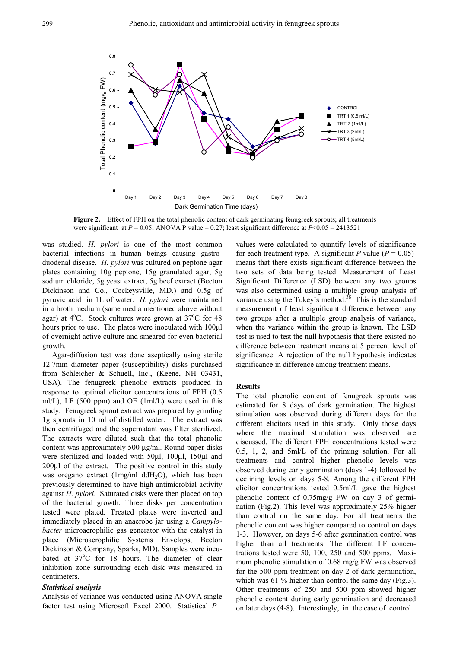

**Figure 2.** Effect of FPH on the total phenolic content of dark germinating fenugreek sprouts; all treatments were significant at *P* = 0.05; ANOVA P value = 0.27; least significant difference at *P*<0.05 = 2413521

was studied. *H. pylori* is one of the most common bacterial infections in human beings causing gastroduodenal disease. *H. pylori* was cultured on peptone agar plates containing 10g peptone, 15g granulated agar, 5g sodium chloride, 5g yeast extract, 5g beef extract (Becton Dickinson and Co., Cockeysville, MD.) and 0.5g of pyruvic acid in 1L of water. *H. pylori* were maintained in a broth medium (same media mentioned above without agar) at  $4^{\circ}$ C. Stock cultures were grown at  $37^{\circ}$ C for 48 hours prior to use. The plates were inoculated with 100μl of overnight active culture and smeared for even bacterial growth.

 Agar-diffusion test was done aseptically using sterile 12.7mm diameter paper (susceptibility) disks purchased from Schleicher & Schuell, Inc., (Keene, NH 03431, USA). The fenugreek phenolic extracts produced in response to optimal elicitor concentrations of FPH (0.5 ml/L), LF (500 ppm) and OE (1ml/L) were used in this study. Fenugreek sprout extract was prepared by grinding 1g sprouts in 10 ml of distilled water. The extract was then centrifuged and the supernatant was filter sterilized. The extracts were diluted such that the total phenolic content was approximately 500 µg/ml. Round paper disks were sterilized and loaded with 50µl, 100µl, 150µl and 200µl of the extract. The positive control in this study was oregano extract (1mg/ml ddH<sub>2</sub>O), which has been previously determined to have high antimicrobial activity against *H. pylori*. Saturated disks were then placed on top of the bacterial growth. Three disks per concentration tested were plated. Treated plates were inverted and immediately placed in an anaerobe jar using a *Campylobacter* microaerophilic gas generator with the catalyst in place (Microaerophilic Systems Envelops, Becton Dickinson & Company, Sparks, MD). Samples were incubated at 37°C for 18 hours. The diameter of clear inhibition zone surrounding each disk was measured in centimeters.

#### *Statistical analysis*

Analysis of variance was conducted using ANOVA single factor test using Microsoft Excel 2000. Statistical *P*

values were calculated to quantify levels of significance for each treatment type. A significant P value ( $P = 0.05$ ) means that there exists significant difference between the two sets of data being tested. Measurement of Least Significant Difference (LSD) between any two groups was also determined using a multiple group analysis of variance using the Tukey's method.<sup>38</sup> This is the standard measurement of least significant difference between any two groups after a multiple group analysis of variance, when the variance within the group is known. The LSD test is used to test the null hypothesis that there existed no difference between treatment means at 5 percent level of significance. A rejection of the null hypothesis indicates significance in difference among treatment means.

# **Results**

The total phenolic content of fenugreek sprouts was estimated for 8 days of dark germination. The highest stimulation was observed during different days for the different elicitors used in this study. Only those days where the maximal stimulation was observed are discussed. The different FPH concentrations tested were 0.5, 1, 2, and 5ml/L of the priming solution. For all treatments and control higher phenolic levels was observed during early germination (days 1-4) followed by declining levels on days 5-8. Among the different FPH elicitor concentrations tested 0.5ml/L gave the highest phenolic content of 0.75mg/g FW on day 3 of germination (Fig.2). This level was approximately 25% higher than control on the same day. For all treatments the phenolic content was higher compared to control on days 1-3. However, on days 5-6 after germination control was higher than all treatments. The different LF concentrations tested were 50, 100, 250 and 500 ppms. Maximum phenolic stimulation of 0.68 mg/g FW was observed for the 500 ppm treatment on day 2 of dark germination, which was 61 % higher than control the same day (Fig.3). Other treatments of 250 and 500 ppm showed higher phenolic content during early germination and decreased on later days (4-8). Interestingly, in the case of control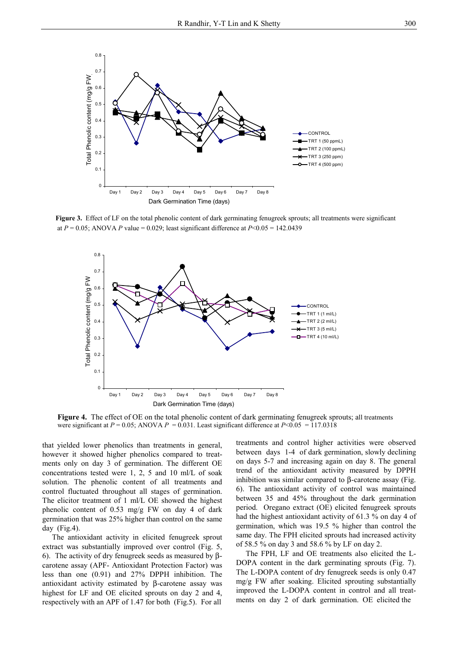

**Figure 3.** Effect of LF on the total phenolic content of dark germinating fenugreek sprouts; all treatments were significant at  $P = 0.05$ ; ANOVA *P* value = 0.029; least significant difference at  $P < 0.05 = 142.0439$ 



Figure 4. The effect of OE on the total phenolic content of dark germinating fenugreek sprouts; all treatments were significant at  $P = 0.05$ ; ANOVA  $P = 0.031$ . Least significant difference at  $P < 0.05 = 117.0318$ 

that yielded lower phenolics than treatments in general, however it showed higher phenolics compared to treatments only on day 3 of germination. The different OE concentrations tested were 1, 2, 5 and 10 ml/L of soak solution. The phenolic content of all treatments and control fluctuated throughout all stages of germination. The elicitor treatment of 1 ml/L OE showed the highest phenolic content of 0.53 mg/g FW on day 4 of dark germination that was 25% higher than control on the same day (Fig.4).

 The antioxidant activity in elicited fenugreek sprout extract was substantially improved over control (Fig. 5, 6). The activity of dry fenugreek seeds as measured by βcarotene assay (APF- Antioxidant Protection Factor) was less than one (0.91) and 27% DPPH inhibition. The antioxidant activity estimated by β-carotene assay was highest for LF and OE elicited sprouts on day 2 and 4, respectively with an APF of 1.47 for both (Fig.5). For all

treatments and control higher activities were observed between days 1-4 of dark germination, slowly declining on days 5-7 and increasing again on day 8. The general trend of the antioxidant activity measured by DPPH inhibition was similar compared to β-carotene assay (Fig. 6). The antioxidant activity of control was maintained between 35 and 45% throughout the dark germination period. Oregano extract (OE) elicited fenugreek sprouts had the highest antioxidant activity of 61.3 % on day 4 of germination, which was 19.5 % higher than control the same day. The FPH elicited sprouts had increased activity of 58.5 % on day 3 and 58.6 % by LF on day 2.

 The FPH, LF and OE treatments also elicited the L-DOPA content in the dark germinating sprouts (Fig. 7). The L-DOPA content of dry fenugreek seeds is only 0.47 mg/g FW after soaking. Elicited sprouting substantially improved the L-DOPA content in control and all treatments on day 2 of dark germination. OE elicited the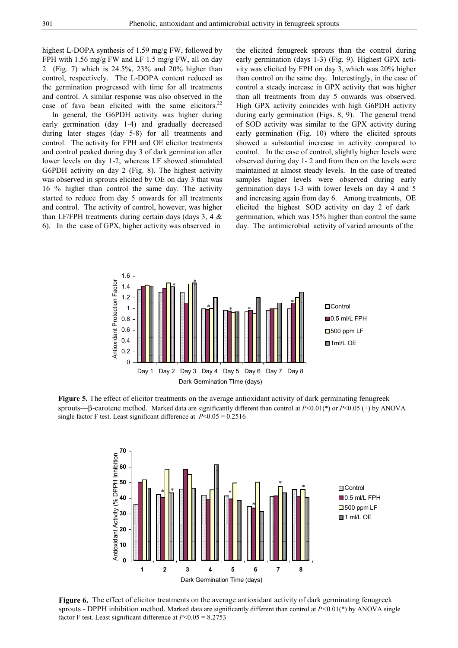highest L-DOPA synthesis of 1.59 mg/g FW, followed by FPH with 1.56 mg/g FW and LF 1.5 mg/g FW, all on day 2 (Fig. 7) which is 24.5%, 23% and 20% higher than control, respectively. The L-DOPA content reduced as the germination progressed with time for all treatments and control. A similar response was also observed in the case of fava bean elicited with the same elicitors. $22$ 

 In general, the G6PDH activity was higher during early germination (day 1-4) and gradually decreased during later stages (day 5-8) for all treatments and control. The activity for FPH and OE elicitor treatments and control peaked during day 3 of dark germination after lower levels on day 1-2, whereas LF showed stimulated G6PDH activity on day 2 (Fig. 8). The highest activity was observed in sprouts elicited by OE on day 3 that was 16 % higher than control the same day. The activity started to reduce from day 5 onwards for all treatments and control. The activity of control, however, was higher than LF/FPH treatments during certain days (days  $3, 4 \&$ 6). In the case of GPX, higher activity was observed in

the elicited fenugreek sprouts than the control during early germination (days 1-3) (Fig. 9). Highest GPX activity was elicited by FPH on day 3, which was 20% higher than control on the same day. Interestingly, in the case of control a steady increase in GPX activity that was higher than all treatments from day 5 onwards was observed. High GPX activity coincides with high G6PDH activity during early germination (Figs. 8, 9). The general trend of SOD activity was similar to the GPX activity during early germination (Fig. 10) where the elicited sprouts showed a substantial increase in activity compared to control. In the case of control, slightly higher levels were observed during day 1- 2 and from then on the levels were maintained at almost steady levels. In the case of treated samples higher levels were observed during early germination days 1-3 with lower levels on day 4 and 5 and increasing again from day 6. Among treatments, OE elicited the highest SOD activity on day 2 of dark germination, which was 15% higher than control the same day. The antimicrobial activity of varied amounts of the



**Figure 5.** The effect of elicitor treatments on the average antioxidant activity of dark germinating fenugreek sprouts—β-carotene method. Marked data are significantly different than control at *P*<0.01(\*) or *P*<0.05 (+) by ANOVA single factor F test. Least significant difference at  $P < 0.05 = 0.2516$ 



**Figure 6.** The effect of elicitor treatments on the average antioxidant activity of dark germinating fenugreek sprouts - DPPH inhibition method. Marked data are significantly different than control at *P<*0.01(\*) by ANOVA single factor F test. Least significant difference at *P*<0.05 = 8.2753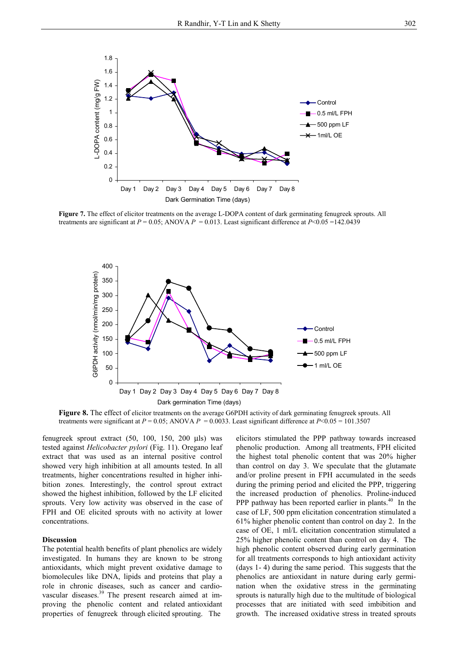

**Figure 7.** The effect of elicitor treatments on the average L-DOPA content of dark germinating fenugreek sprouts. All treatments are significant at  $P = 0.05$ ; ANOVA  $P = 0.013$ . Least significant difference at  $P < 0.05 = 142.0439$ 



**Figure 8.** The effect of elicitor treatments on the average G6PDH activity of dark germinating fenugreek sprouts. All treatments were significant at  $P = 0.05$ ; ANOVA  $P = 0.0033$ . Least significant difference at  $P < 0.05 = 101.3507$ 

fenugreek sprout extract (50, 100, 150, 200 µls) was tested against *Helicobacter pylori* (Fig. 11). Oregano leaf extract that was used as an internal positive control showed very high inhibition at all amounts tested. In all treatments, higher concentrations resulted in higher inhibition zones. Interestingly, the control sprout extract showed the highest inhibition, followed by the LF elicited sprouts. Very low activity was observed in the case of FPH and OE elicited sprouts with no activity at lower concentrations.

# **Discussion**

The potential health benefits of plant phenolics are widely investigated. In humans they are known to be strong antioxidants, which might prevent oxidative damage to biomolecules like DNA, lipids and proteins that play a role in chronic diseases, such as cancer and cardiovascular diseases.39 The present research aimed at improving the phenolic content and related antioxidant properties of fenugreek through elicited sprouting. The

elicitors stimulated the PPP pathway towards increased phenolic production. Among all treatments, FPH elicited the highest total phenolic content that was 20% higher than control on day 3. We speculate that the glutamate and/or proline present in FPH accumulated in the seeds during the priming period and elicited the PPP, triggering the increased production of phenolics. Proline-induced PPP pathway has been reported earlier in plants. $40 \text{ In the}$ case of LF, 500 ppm elicitation concentration stimulated a 61% higher phenolic content than control on day 2. In the case of OE, 1 ml/L elicitation concentration stimulated a 25% higher phenolic content than control on day 4. The high phenolic content observed during early germination for all treatments corresponds to high antioxidant activity (days 1- 4) during the same period. This suggests that the phenolics are antioxidant in nature during early germination when the oxidative stress in the germinating sprouts is naturally high due to the multitude of biological processes that are initiated with seed imbibition and growth. The increased oxidative stress in treated sprouts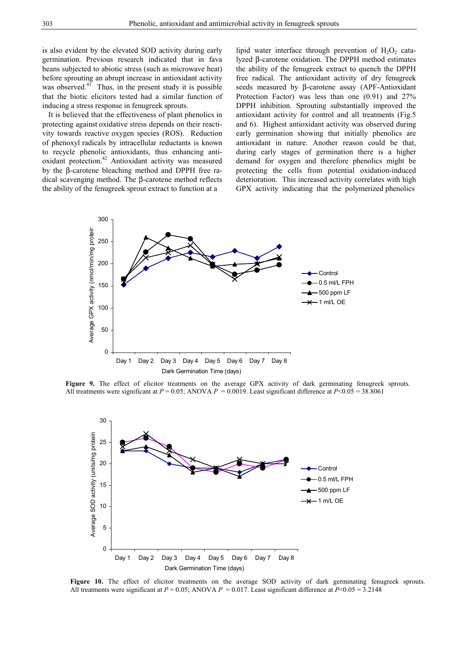is also evident by the elevated SOD activity during early germination. Previous research indicated that in fava beans subjected to abiotic stress (such as microwave heat) before sprouting an abrupt increase in antioxidant activity was observed. $41$  Thus, in the present study it is possible that the biotic elicitors tested had a similar function of inducing a stress response in fenugreek sprouts.

 It is believed that the effectiveness of plant phenolics in protecting against oxidative stress depends on their reactivity towards reactive oxygen species (ROS). Reduction of phenoxyl radicals by intracellular reductants is known to recycle phenolic antioxidants, thus enhancing antioxidant protection.<sup>42</sup> Antioxidant activity was measured by the β-carotene bleaching method and DPPH free radical scavenging method. The β-carotene method reflects the ability of the fenugreek sprout extract to function at a

lipid water interface through prevention of  $H_2O_2$  catalyzed β-carotene oxidation. The DPPH method estimates the ability of the fenugreek extract to quench the DPPH free radical. The antioxidant activity of dry fenugreek seeds measured by β-carotene assay (APF-Antioxidant Protection Factor) was less than one (0.91) and 27% DPPH inhibition. Sprouting substantially improved the antioxidant activity for control and all treatments (Fig.5 and 6). Highest antioxidant activity was observed during early germination showing that initially phenolics are antioxidant in nature. Another reason could be that, during early stages of germination there is a higher demand for oxygen and therefore phenolics might be protecting the cells from potential oxidation-induced deterioration. This increased activity correlates with high GPX activity indicating that the polymerized phenolics



Figure 9. The effect of elicitor treatments on the average GPX activity of dark germinating fenugreek sprouts. All treatments were significant at  $P = 0.05$ ; ANOVA  $P = 0.0019$ . Least significant difference at  $P < 0.05 = 38.8061$ 



**Figure 10.** The effect of elicitor treatments on the average SOD activity of dark germinating fenugreek sprouts. All treatments were significant at  $P = 0.05$ ; ANOVA  $P = 0.017$ . Least significant difference at  $P < 0.05 = 3.2148$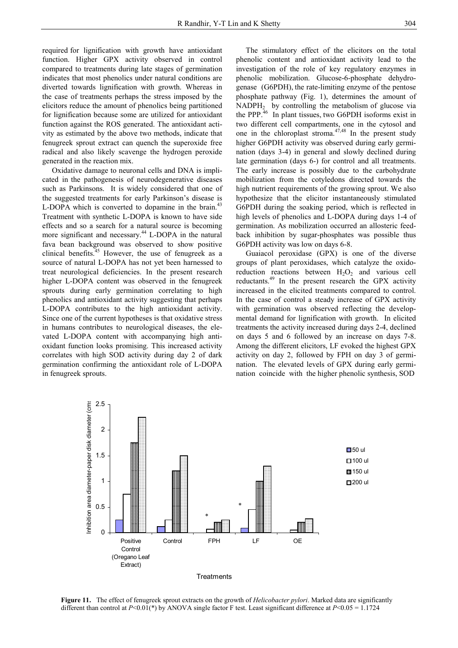required for lignification with growth have antioxidant function. Higher GPX activity observed in control compared to treatments during late stages of germination indicates that most phenolics under natural conditions are diverted towards lignification with growth. Whereas in the case of treatments perhaps the stress imposed by the elicitors reduce the amount of phenolics being partitioned for lignification because some are utilized for antioxidant function against the ROS generated. The antioxidant activity as estimated by the above two methods, indicate that fenugreek sprout extract can quench the superoxide free radical and also likely scavenge the hydrogen peroxide generated in the reaction mix.

 Oxidative damage to neuronal cells and DNA is implicated in the pathogenesis of neurodegenerative diseases such as Parkinsons. It is widely considered that one of the suggested treatments for early Parkinson's disease is L-DOPA which is converted to dopamine in the brain.<sup>43</sup> Treatment with synthetic L-DOPA is known to have side effects and so a search for a natural source is becoming more significant and necessary.<sup>44</sup> L-DOPA in the natural fava bean background was observed to show positive clinical benefits.<sup>45</sup> However, the use of fenugreek as a source of natural L-DOPA has not yet been harnessed to treat neurological deficiencies. In the present research higher L-DOPA content was observed in the fenugreek sprouts during early germination correlating to high phenolics and antioxidant activity suggesting that perhaps L-DOPA contributes to the high antioxidant activity. Since one of the current hypotheses is that oxidative stress in humans contributes to neurological diseases, the elevated L-DOPA content with accompanying high antioxidant function looks promising. This increased activity correlates with high SOD activity during day 2 of dark germination confirming the antioxidant role of L-DOPA in fenugreek sprouts.

 The stimulatory effect of the elicitors on the total phenolic content and antioxidant activity lead to the investigation of the role of key regulatory enzymes in phenolic mobilization. Glucose-6-phosphate dehydrogenase (G6PDH), the rate-limiting enzyme of the pentose phosphate pathway (Fig. 1), determines the amount of  $NADPH<sub>2</sub>$  by controlling the metabolism of glucose via the PPP.<sup>46</sup> In plant tissues, two G6PDH isoforms exist in two different cell compartments, one in the cytosol and one in the chloroplast stroma. $47,48$  In the present study higher G6PDH activity was observed during early germination (days 3-4) in general and slowly declined during late germination (days 6-) for control and all treatments. The early increase is possibly due to the carbohydrate mobilization from the cotyledons directed towards the high nutrient requirements of the growing sprout. We also hypothesize that the elicitor instantaneously stimulated G6PDH during the soaking period, which is reflected in high levels of phenolics and L-DOPA during days 1-4 of germination. As mobilization occurred an allosteric feedback inhibition by sugar-phosphates was possible thus G6PDH activity was low on days 6-8.

 Guaiacol peroxidase (GPX) is one of the diverse groups of plant peroxidases, which catalyze the oxidoreduction reactions between  $H_2O_2$  and various cell reductants.49 In the present research the GPX activity increased in the elicited treatments compared to control. In the case of control a steady increase of GPX activity with germination was observed reflecting the developmental demand for lignification with growth. In elicited treatments the activity increased during days 2-4, declined on days 5 and 6 followed by an increase on days 7-8. Among the different elicitors, LF evoked the highest GPX activity on day 2, followed by FPH on day 3 of germination. The elevated levels of GPX during early germination coincide with the higher phenolic synthesis, SOD



**Figure 11.** The effect of fenugreek sprout extracts on the growth of *Helicobacter pylori*. Marked data are significantly different than control at *P*<0.01(\*) by ANOVA single factor F test. Least significant difference at *P*<0.05 = 1.1724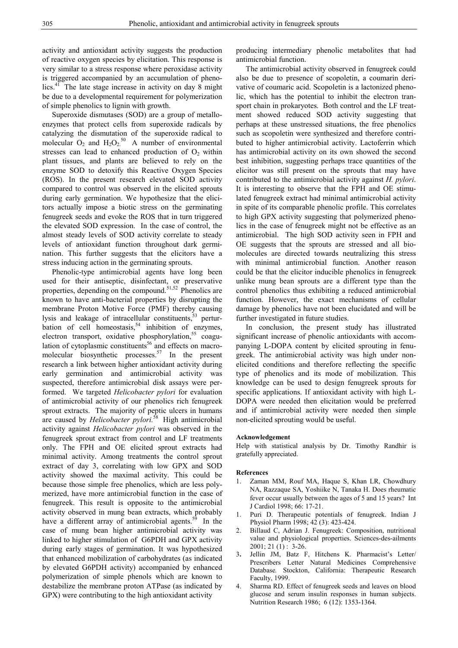activity and antioxidant activity suggests the production of reactive oxygen species by elicitation. This response is very similar to a stress response where peroxidase activity is triggered accompanied by an accumulation of phenolics.<sup>41</sup> The late stage increase in activity on day 8 might be due to a developmental requirement for polymerization of simple phenolics to lignin with growth.

 Superoxide dismutases (SOD) are a group of metalloenzymes that protect cells from superoxide radicals by catalyzing the dismutation of the superoxide radical to molecular  $O_2$  and  $H_2O_2^{50}$  A number of environmental stresses can lead to enhanced production of  $O<sub>2</sub>$  within plant tissues, and plants are believed to rely on the enzyme SOD to detoxify this Reactive Oxygen Species (ROS). In the present research elevated SOD activity compared to control was observed in the elicited sprouts during early germination. We hypothesize that the elicitors actually impose a biotic stress on the germinating fenugreek seeds and evoke the ROS that in turn triggered the elevated SOD expression. In the case of control, the almost steady levels of SOD activity correlate to steady levels of antioxidant function throughout dark germination. This further suggests that the elicitors have a stress inducing action in the germinating sprouts.

 Phenolic-type antimicrobial agents have long been used for their antiseptic, disinfectant, or preservative properties, depending on the compound. $51,52$  Phenolics are known to have anti-bacterial properties by disrupting the membrane Proton Motive Force (PMF) thereby causing lysis and leakage of intracellular constituents,<sup>53</sup> perturbation of cell homeostasis,<sup>54</sup> inhibition of enzymes, electron transport, oxidative phosphorylation,<sup>55</sup> coagulation of cytoplasmic constituents<sup>56</sup> and effects on macromolecular biosynthetic processes.<sup>57</sup> In the present research a link between higher antioxidant activity during early germination and antimicrobial activity was suspected, therefore antimicrobial disk assays were performed. We targeted *Helicobacter pylori* for evaluation of antimicrobial activity of our phenolics rich fenugreek sprout extracts. The majority of peptic ulcers in humans are caused by *Helicobacter pylori.*58 High antimicrobial activity against *Helicobacter pylori* was observed in the fenugreek sprout extract from control and LF treatments only. The FPH and OE elicited sprout extracts had minimal activity. Among treatments the control sprout extract of day 3, correlating with low GPX and SOD activity showed the maximal activity. This could be because those simple free phenolics, which are less polymerized, have more antimicrobial function in the case of fenugreek. This result is opposite to the antimicrobial activity observed in mung bean extracts, which probably have a different array of antimicrobial agents.<sup>59</sup> In the case of mung bean higher antimicrobial activity was linked to higher stimulation of G6PDH and GPX activity during early stages of germination. It was hypothesized that enhanced mobilization of carbohydrates (as indicated by elevated G6PDH activity) accompanied by enhanced polymerization of simple phenols which are known to destabilize the membrane proton ATPase (as indicated by GPX) were contributing to the high antioxidant activity

producing intermediary phenolic metabolites that had antimicrobial function.

 The antimicrobial activity observed in fenugreek could also be due to presence of scopoletin, a coumarin derivative of coumaric acid. Scopoletin is a lactonized phenolic, which has the potential to inhibit the electron transport chain in prokaryotes. Both control and the LF treatment showed reduced SOD activity suggesting that perhaps at these unstressed situations, the free phenolics such as scopoletin were synthesized and therefore contributed to higher antimicrobial activity. Lactoferrin which has antimicrobial activity on its own showed the second best inhibition, suggesting perhaps trace quantities of the elicitor was still present on the sprouts that may have contributed to the antimicrobial activity against *H. pylori*. It is interesting to observe that the FPH and OE stimulated fenugreek extract had minimal antimicrobial activity in spite of its comparable phenolic profile. This correlates to high GPX activity suggesting that polymerized phenolics in the case of fenugreek might not be effective as an antimicrobial. The high SOD activity seen in FPH and OE suggests that the sprouts are stressed and all biomolecules are directed towards neutralizing this stress with minimal antimicrobial function. Another reason could be that the elicitor inducible phenolics in fenugreek unlike mung bean sprouts are a different type than the control phenolics thus exhibiting a reduced antimicrobial function. However, the exact mechanisms of cellular damage by phenolics have not been elucidated and will be further investigated in future studies.

 In conclusion, the present study has illustrated significant increase of phenolic antioxidants with accompanying L-DOPA content by elicited sprouting in fenugreek. The antimicrobial activity was high under nonelicited conditions and therefore reflecting the specific type of phenolics and its mode of mobilization. This knowledge can be used to design fenugreek sprouts for specific applications. If antioxidant activity with high L-DOPA were needed then elicitation would be preferred and if antimicrobial activity were needed then simple non-elicited sprouting would be useful.

#### **Acknowledgement**

Help with statistical analysis by Dr. Timothy Randhir is gratefully appreciated.

#### **References**

- 1. Zaman MM, Rouf MA, Haque S, Khan LR, Chowdhury NA, Razzaque SA, Yoshiike N, Tanaka H. Does rheumatic fever occur usually between the ages of 5 and 15 years? Int J Cardiol 1998; 66: 17-21.
- 1. Puri D. Therapeutic potentials of fenugreek. Indian J Physiol Pharm 1998; 42 (3): 423-424.
- 2. Billaud C, Adrian J. Fenugreek: Composition, nutritional value and physiological properties. Sciences-des-ailments 2001; 21 (1) : 3-26.
- 3**.** Jellin JM, Batz F, Hitchens K. Pharmacist's Letter/ Prescribers Letter Natural Medicines Comprehensive Database*.* Stockton, California: Therapeutic Research Faculty, 1999.
- 4. Sharma RD. Effect of fenugreek seeds and leaves on blood glucose and serum insulin responses in human subjects. Nutrition Research 1986; 6 (12): 1353-1364.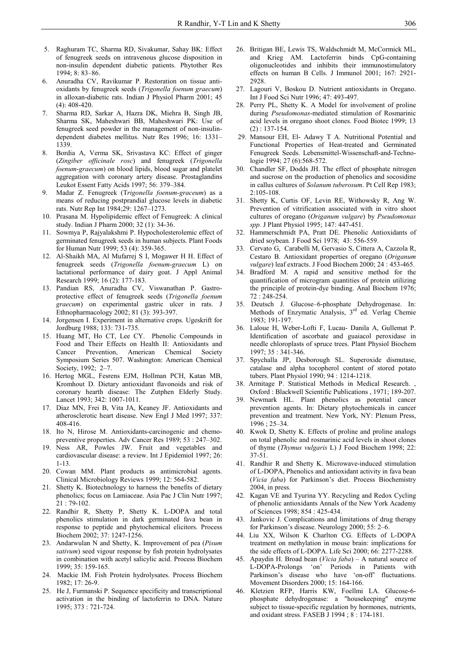- 5. Raghuram TC, Sharma RD, Sivakumar, Sahay BK: Effect of fenugreek seeds on intravenous glucose disposition in non-insulin dependent diabetic patients. Phytother Res 1994; 8: 83–86.
- 6. Anuradha CV, Ravikumar P. Restoration on tissue antioxidants by fenugreek seeds (*Trigonella foenum graecum*) in alloxan-diabetic rats. Indian J Physiol Pharm 2001; 45 (4): 408-420.
- 7. Sharma RD, Sarkar A, Hazra DK, Miehra B, Singh JB, Sharma SK, Maheshwari BB, Maheshwari PK: Use of fenugreek seed powder in the management of non-insulindependent diabetes mellitus. Nutr Res 1996; 16: 1331– 1339.
- Bordia A, Verma SK, Srivastava KC: Effect of ginger (*Zingiber officinale rosc*) and fenugreek (*Trigonella foenum-graecum*) on blood lipids, blood sugar and platelet aggregation with coronary artery disease. Prostaglandins Leukot Essent Fatty Acids 1997; 56: 379–384.
- 9. Madar Z. Fenugreek (T*rigonella foenum-graceum*) as a means of reducing postprandial glucose levels in diabetic rats. Nutr Rep Int 1984;29: 1267–1273.
- 10. Prasana M. Hypolipidemic effect of Fenugreek: A clinical study. Indian J Pharm 2000; 32 (1): 34-36.
- 11. Sowmya P, Rajyalakshmi P. Hypocholesterolemic effect of germinated fenugreek seeds in human subjects. Plant Foods for Human Nutr 1999; 53 (4): 359-365.
- 12. Al-Shaikh MA, Al Mufarrej S I, Mogawer H H. Effect of fenugreek seeds (*Trigonella foenum-graecum* L) on lactational performance of dairy goat. J Appl Animal Research 1999; 16 (2): 177-183.
- 13. Pandian RS, Anuradha CV, Viswanathan P. Gastroprotective effect of fenugreek seeds (*Trigonella foenum graecum*) on experimental gastric ulcer in rats. J Ethnopharmacology 2002; 81 (3): 393-397.
- 14. Jorgensen I. Experiment in alternative crops. Ugeskrift for Jordburg 1988; 133: 731-735.
- 15. Huang MT, Ho CT, Lee CY. Phenolic Compounds in Food and Their Effects on Health II: Antioxidants and Cancer Prevention, American Chemical Society Symposium Series 507. Washington: American Chemical Society, 1992; 2–7.
- 16. Hertog MGL, Fesrens EJM, Hollman PCH, Katan MB, Kromhout D. Dietary antioxidant flavonoids and risk of coronary hearth disease: The Zutphen Elderly Study. Lancet 1993; 342: 1007-1011.
- 17. Diaz MN, Frei B, Vita JA, Keaney JF. Antioxidants and atherosclerotic heart disease. New Engl J Med 1997; 337: 408-416.
- 18. Ito N, Hirose M. Antioxidants-carcinogenic and chemopreventive properties. Adv Cancer Res 1989; 53 : 247–302.
- 19. Ness AR, Powles JW. Fruit and vegetables and cardiovascular disease: a review. Int J Epidemiol 1997; 26: 1-13.
- 20. Cowan MM. Plant products as antimicrobial agents. Clinical Microbiology Reviews 1999; 12: 564-582.
- 21. Shetty K. Biotechnology to harness the benefits of dietary phenolics; focus on Lamiaceae. Asia Pac J Clin Nutr 1997; 21 : 79-102.
- 22. Randhir R, Shetty P, Shetty K. L-DOPA and total phenolics stimulation in dark germinated fava bean in response to peptide and phytochemical elicitors. Process Biochem 2002; 37: 1247-1256.
- 23. Andarwulan N and Shetty, K. Improvement of pea (*Pisum sativum*) seed vigour response by fish protein hydrolysates in combination with acetyl salicylic acid. Process Biochem 1999; 35: 159-165.
- 24. Mackie IM. Fish Protein hydrolysates. Process Biochem 1982; 17: 26-9.
- 25. He J, Furmanski P. Sequence specificity and transcriptional activation in the binding of lactoferrin to DNA. Nature 1995; 373 : 721-724.
- 26. Britigan BE, Lewis TS, Waldschmidt M, McCormick ML, and Krieg AM. Lactoferrin binds CpG-containing oligonucleotides and inhibits their immunostimulatory effects on human B Cells. J Immunol 2001; 167: 2921- 2928.
- 27. Lagouri V, Boskou D. Nutrient antioxidants in Oregano. Int J Food Sci Nutr 1996; 47: 493-497.
- 28. Perry PL, Shetty K. A Model for involvement of proline during *Pseudomonas*-mediated stimulation of Rosmarinic acid levels in oregano shoot clones. Food Biotec 1999; 13 (2) : 137-154.
- 29. Mansour EH, El- Adawy T A. Nutritional Potential and Functional Properties of Heat-treated and Germinated Fenugreek Seeds. Lebensmittel-Wissenschaft-and-Technologie 1994; 27 (6):568-572.
- 30. Chandler SF, Dodds JH. The effect of phosphate nitrogen and sucrose on the production of phenolics and socosidine in callus cultures of *Solanum tuberosum*. Pt Cell Rep 1983; 2:105-108.
- 31. Shetty K, Curtis OF, Levin RE, Withowsky R, Ang W. Prevention of vitrification associated with in vitro shoot cultures of oregano (*Origanum vulgare*) by *Pseudomonas spp.* J Plant Physiol 1995; 147: 447-451.
- 32. Hammerschmidt PA, Pratt DE. Phenolic Antioxidants of dried soybean*.* J Food Sci 1978; 43: 556-559.
- 33. Cervato G, Carabelli M, Gervasio S, Cittera A, Cazzola R, Cestaro B. Antioxidant properties of oregano (*Origanum vulgare*) leaf extracts. J Food Biochem 2000; 24 : 453-465.
- 34. Bradford M. A rapid and sensitive method for the quantification of microgram quantities of protein utilizing the principle of protein-dye binding. Anal Biochem 1976; 72 : 248-254.
- 35. Deutsch J. Glucose–6-phosphate Dehydrogenase. In: Methods of Enzymatic Analysis, 3<sup>rd</sup> ed. Verlag Chemie 1983; 191-197.
- 36. Laloue H, Weber-Lofti F, Lucau- Danila A, Gullemat P. Identification of ascorbate and guaiacol peroxidase in needle chloroplasts of spruce trees. Plant Physiol Biochem 1997; 35 : 341-346.
- 37. Spychalla JP, Desborough SL. Superoxide dismutase, catalase and alpha tocopherol content of stored potato tubers. Plant Physiol 1990; 94 : 1214-1218.
- 38. Armitage P. Statistical Methods in Medical Research. , Oxford : Blackwell Scientific Publications , 1971; 189-207.
- 39. Newmark HL. Plant phenolics as potential cancer prevention agents. In: Dietary phytochemicals in cancer prevention and treatment. New York, NY: Plenum Press, 1996 ; 25–34.
- 40. Kwok D, Shetty K. Effects of proline and proline analogs on total phenolic and rosmarinic acid levels in shoot clones of thyme (*Thymus vulgaris* L) J Food Biochem 1998; 22: 37-51.
- 41. Randhir R and Shetty K. Microwave-induced stimulation of L-DOPA, Phenolics and antioxidant activity in fava bean (*Vicia faba*) for Parkinson's diet. Process Biochemistry 2004, in press.
- 42. Kagan VE and Tyurina YY. Recycling and Redox Cycling of phenolic antioxidants Annals of the New York Academy of Sciences 1998; 854 : 425-434.
- 43. Jankovic J. Complications and limitations of drug therapy for Parkinson's disease. Neurology 2000; 55: 2–6.
- 44. Liu XX, Wilson K Charlton CG. Effects of L-DOPA treatment on methylation in mouse brain: implications for the side effects of L-DOPA. Life Sci 2000; 66: 2277-2288.
- 45. Apaydin H. Broad bean (*Vicia faba*) A natural source of L-DOPA-Prolongs 'on' Periods in Patients with Parkinson's disease who have 'on-off' fluctuations. Movement Disorders 2000; 15: 164-166.
- 46. Kletzien RFP, Harris KW, Foellmi LA. Glucose-6 phosphate dehydrogenase: a "housekeeping" enzyme subject to tissue-specific regulation by hormones, nutrients, and oxidant stress. FASEB J 1994 ; 8 : 174-181.